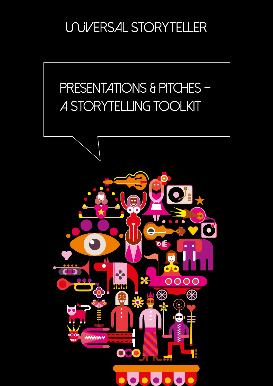## **UNIVERSAL STORYTELLER**

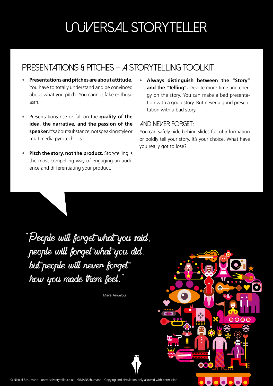# **UNIVERSAL STORYTELLER**

## PRESENTATIONS & PITCHES - A STORYTELLING TOOLKIT

- **Presentations and pitches are about attitude.** You have to totally understand and be convinced about what you pitch. You cannot fake enthusiasm.
- Presentations rise or fall on the **quality of the idea, the narrative, and the passion of the speaker.** It's about substance, not speaking style or multimedia pyrotechnics.
- **Pitch the story, not the product.** Storytelling is the most compelling way of engaging an audience and differentiating your product.
- **Always distinguish between the "Story" and the "Telling".** Devote more time and energy on the story. You can make a bad presentation with a good story. But never a good presentation with a bad story.

#### And never forget:

You can safely hide behind slides full of information or boldly tell your story. It's your choice. What have you really got to lose?

"People will forget what you said, people will forget what you did, but people will never forget how you made them feel.

Maya Angelou

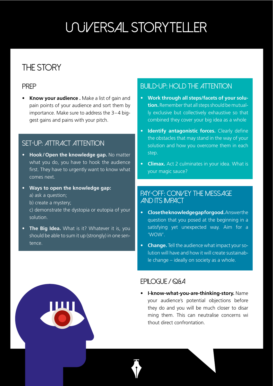# **UNIVERSAL STORYTELLER**

### THE STORY

#### PREP

• **Know your audience .** Make a list of gain and pain points of your audience and sort them by importance. Make sure to address the 3-4 biggest gains and pains with your pitch.

#### SET-UP: ATTRACT ATTENTION

- **Hook/Open the knowledge gap.** No matter what you do, you have to hook the audience first. They have to urgently want to know what comes next.
- **Ways to open the knowledge gap:**  a) ask a question;
	- b) create a mystery;
	- c) demonstrate the dystopia or eutopia of your solution.
- **The Big Idea.** What is it? Whatever it is, you should be able to sum it up (strongly) in one sentence.

### BUILD-UP: HOLD THE ATTENTION

- **Work through all steps/facets of your solution.** Remember that all steps should be mutually exclusive but collectively exhaustive so that combined they cover your big idea as a whole
- **Identify antagonistic forces.** Clearly define the obstacles that may stand in the way of your solution and how you overcome them in each step.
- **Climax.** Act 2 culminates in your idea. What is your magic sauce?

### PAY-OFF: CONVEY THE MESSAGE and its impact

- **Close the knowledge gap for good.** Answer the question that you posed at the beginning in a satisfying yet unexpected way. Aim for a 'WOW'.
- **Change.** Tell the audience what impact your solution will have and how it will create sustainable change – ideally on society as a whole.

#### EPILOGUE / Q&A

• **I-know-what-you-are-thinking-story.** Name your audience's potential objections before they do and you will be much closer to disar ming them. This can neutralise concerns wi thout direct confrontation.